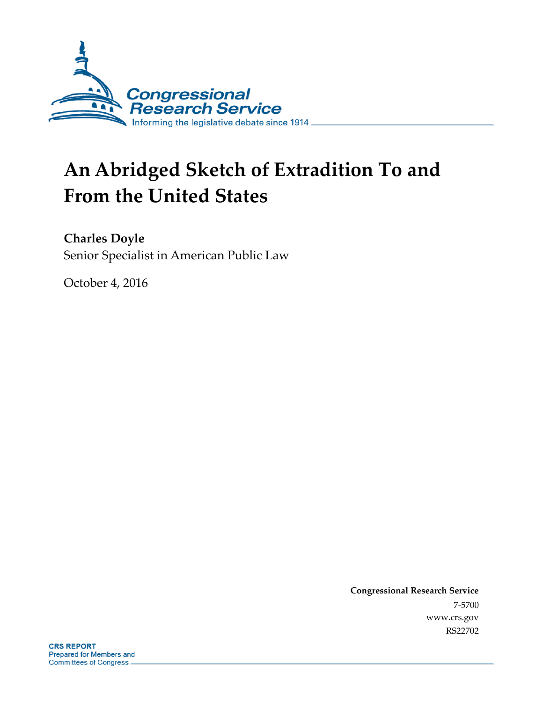

# **An Abridged Sketch of Extradition To and From the United States**

**Charles Doyle**

Senior Specialist in American Public Law

October 4, 2016

**Congressional Research Service** 7-5700 www.crs.gov RS22702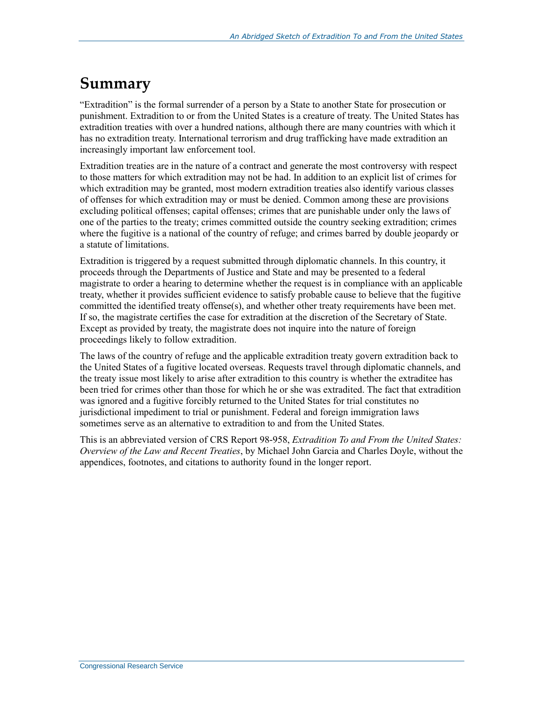# **Summary**

"Extradition" is the formal surrender of a person by a State to another State for prosecution or punishment. Extradition to or from the United States is a creature of treaty. The United States has extradition treaties with over a hundred nations, although there are many countries with which it has no extradition treaty. International terrorism and drug trafficking have made extradition an increasingly important law enforcement tool.

Extradition treaties are in the nature of a contract and generate the most controversy with respect to those matters for which extradition may not be had. In addition to an explicit list of crimes for which extradition may be granted, most modern extradition treaties also identify various classes of offenses for which extradition may or must be denied. Common among these are provisions excluding political offenses; capital offenses; crimes that are punishable under only the laws of one of the parties to the treaty; crimes committed outside the country seeking extradition; crimes where the fugitive is a national of the country of refuge; and crimes barred by double jeopardy or a statute of limitations.

Extradition is triggered by a request submitted through diplomatic channels. In this country, it proceeds through the Departments of Justice and State and may be presented to a federal magistrate to order a hearing to determine whether the request is in compliance with an applicable treaty, whether it provides sufficient evidence to satisfy probable cause to believe that the fugitive committed the identified treaty offense(s), and whether other treaty requirements have been met. If so, the magistrate certifies the case for extradition at the discretion of the Secretary of State. Except as provided by treaty, the magistrate does not inquire into the nature of foreign proceedings likely to follow extradition.

The laws of the country of refuge and the applicable extradition treaty govern extradition back to the United States of a fugitive located overseas. Requests travel through diplomatic channels, and the treaty issue most likely to arise after extradition to this country is whether the extraditee has been tried for crimes other than those for which he or she was extradited. The fact that extradition was ignored and a fugitive forcibly returned to the United States for trial constitutes no jurisdictional impediment to trial or punishment. Federal and foreign immigration laws sometimes serve as an alternative to extradition to and from the United States.

This is an abbreviated version of CRS Report 98-958, *Extradition To and From the United States: Overview of the Law and Recent Treaties*, by Michael John Garcia and Charles Doyle, without the appendices, footnotes, and citations to authority found in the longer report.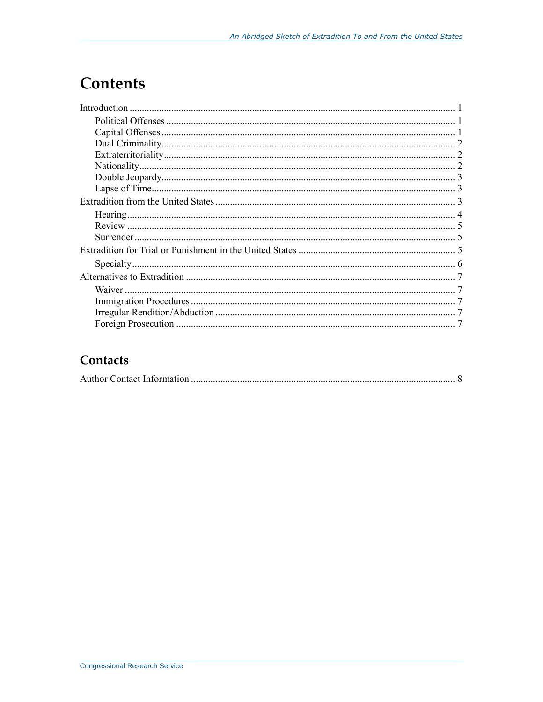# **Contents**

#### Contacts

|--|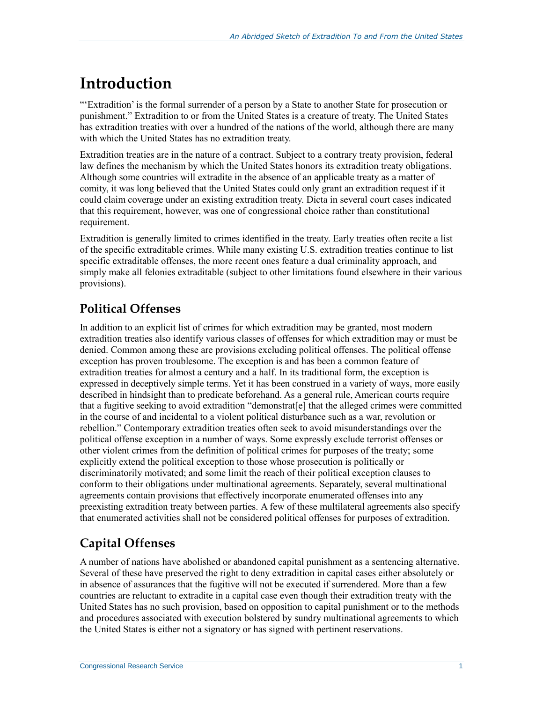# **Introduction**

"'Extradition' is the formal surrender of a person by a State to another State for prosecution or punishment." Extradition to or from the United States is a creature of treaty. The United States has extradition treaties with over a hundred of the nations of the world, although there are many with which the United States has no extradition treaty.

Extradition treaties are in the nature of a contract. Subject to a contrary treaty provision, federal law defines the mechanism by which the United States honors its extradition treaty obligations. Although some countries will extradite in the absence of an applicable treaty as a matter of comity, it was long believed that the United States could only grant an extradition request if it could claim coverage under an existing extradition treaty. Dicta in several court cases indicated that this requirement, however, was one of congressional choice rather than constitutional requirement.

Extradition is generally limited to crimes identified in the treaty. Early treaties often recite a list of the specific extraditable crimes. While many existing U.S. extradition treaties continue to list specific extraditable offenses, the more recent ones feature a dual criminality approach, and simply make all felonies extraditable (subject to other limitations found elsewhere in their various provisions).

# **Political Offenses**

In addition to an explicit list of crimes for which extradition may be granted, most modern extradition treaties also identify various classes of offenses for which extradition may or must be denied. Common among these are provisions excluding political offenses. The political offense exception has proven troublesome. The exception is and has been a common feature of extradition treaties for almost a century and a half. In its traditional form, the exception is expressed in deceptively simple terms. Yet it has been construed in a variety of ways, more easily described in hindsight than to predicate beforehand. As a general rule, American courts require that a fugitive seeking to avoid extradition "demonstrat[e] that the alleged crimes were committed in the course of and incidental to a violent political disturbance such as a war, revolution or rebellion." Contemporary extradition treaties often seek to avoid misunderstandings over the political offense exception in a number of ways. Some expressly exclude terrorist offenses or other violent crimes from the definition of political crimes for purposes of the treaty; some explicitly extend the political exception to those whose prosecution is politically or discriminatorily motivated; and some limit the reach of their political exception clauses to conform to their obligations under multinational agreements. Separately, several multinational agreements contain provisions that effectively incorporate enumerated offenses into any preexisting extradition treaty between parties. A few of these multilateral agreements also specify that enumerated activities shall not be considered political offenses for purposes of extradition.

# **Capital Offenses**

A number of nations have abolished or abandoned capital punishment as a sentencing alternative. Several of these have preserved the right to deny extradition in capital cases either absolutely or in absence of assurances that the fugitive will not be executed if surrendered. More than a few countries are reluctant to extradite in a capital case even though their extradition treaty with the United States has no such provision, based on opposition to capital punishment or to the methods and procedures associated with execution bolstered by sundry multinational agreements to which the United States is either not a signatory or has signed with pertinent reservations.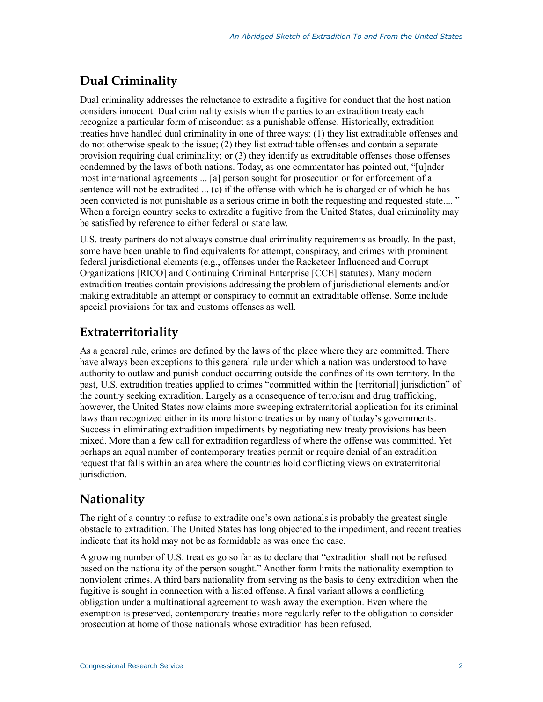# **Dual Criminality**

Dual criminality addresses the reluctance to extradite a fugitive for conduct that the host nation considers innocent. Dual criminality exists when the parties to an extradition treaty each recognize a particular form of misconduct as a punishable offense. Historically, extradition treaties have handled dual criminality in one of three ways: (1) they list extraditable offenses and do not otherwise speak to the issue; (2) they list extraditable offenses and contain a separate provision requiring dual criminality; or (3) they identify as extraditable offenses those offenses condemned by the laws of both nations. Today, as one commentator has pointed out, "[u]nder most international agreements ... [a] person sought for prosecution or for enforcement of a sentence will not be extradited ... (c) if the offense with which he is charged or of which he has been convicted is not punishable as a serious crime in both the requesting and requested state...." When a foreign country seeks to extradite a fugitive from the United States, dual criminality may be satisfied by reference to either federal or state law.

U.S. treaty partners do not always construe dual criminality requirements as broadly. In the past, some have been unable to find equivalents for attempt, conspiracy, and crimes with prominent federal jurisdictional elements (e.g., offenses under the Racketeer Influenced and Corrupt Organizations [RICO] and Continuing Criminal Enterprise [CCE] statutes). Many modern extradition treaties contain provisions addressing the problem of jurisdictional elements and/or making extraditable an attempt or conspiracy to commit an extraditable offense. Some include special provisions for tax and customs offenses as well.

#### **Extraterritoriality**

As a general rule, crimes are defined by the laws of the place where they are committed. There have always been exceptions to this general rule under which a nation was understood to have authority to outlaw and punish conduct occurring outside the confines of its own territory. In the past, U.S. extradition treaties applied to crimes "committed within the [territorial] jurisdiction" of the country seeking extradition. Largely as a consequence of terrorism and drug trafficking, however, the United States now claims more sweeping extraterritorial application for its criminal laws than recognized either in its more historic treaties or by many of today's governments. Success in eliminating extradition impediments by negotiating new treaty provisions has been mixed. More than a few call for extradition regardless of where the offense was committed. Yet perhaps an equal number of contemporary treaties permit or require denial of an extradition request that falls within an area where the countries hold conflicting views on extraterritorial jurisdiction.

# **Nationality**

The right of a country to refuse to extradite one's own nationals is probably the greatest single obstacle to extradition. The United States has long objected to the impediment, and recent treaties indicate that its hold may not be as formidable as was once the case.

A growing number of U.S. treaties go so far as to declare that "extradition shall not be refused based on the nationality of the person sought." Another form limits the nationality exemption to nonviolent crimes. A third bars nationality from serving as the basis to deny extradition when the fugitive is sought in connection with a listed offense. A final variant allows a conflicting obligation under a multinational agreement to wash away the exemption. Even where the exemption is preserved, contemporary treaties more regularly refer to the obligation to consider prosecution at home of those nationals whose extradition has been refused.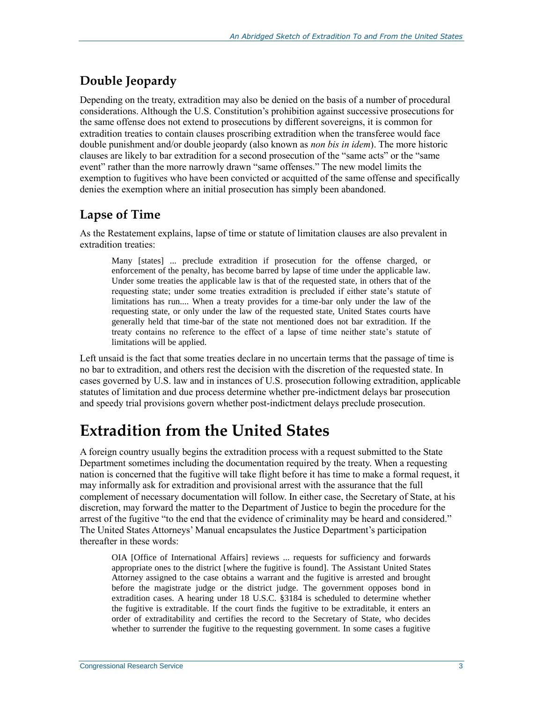# **Double Jeopardy**

Depending on the treaty, extradition may also be denied on the basis of a number of procedural considerations. Although the U.S. Constitution's prohibition against successive prosecutions for the same offense does not extend to prosecutions by different sovereigns, it is common for extradition treaties to contain clauses proscribing extradition when the transferee would face double punishment and/or double jeopardy (also known as *non bis in idem*). The more historic clauses are likely to bar extradition for a second prosecution of the "same acts" or the "same event" rather than the more narrowly drawn "same offenses." The new model limits the exemption to fugitives who have been convicted or acquitted of the same offense and specifically denies the exemption where an initial prosecution has simply been abandoned.

#### **Lapse of Time**

As the Restatement explains, lapse of time or statute of limitation clauses are also prevalent in extradition treaties:

Many [states] ... preclude extradition if prosecution for the offense charged, or enforcement of the penalty, has become barred by lapse of time under the applicable law. Under some treaties the applicable law is that of the requested state, in others that of the requesting state; under some treaties extradition is precluded if either state's statute of limitations has run.... When a treaty provides for a time-bar only under the law of the requesting state, or only under the law of the requested state, United States courts have generally held that time-bar of the state not mentioned does not bar extradition. If the treaty contains no reference to the effect of a lapse of time neither state's statute of limitations will be applied.

Left unsaid is the fact that some treaties declare in no uncertain terms that the passage of time is no bar to extradition, and others rest the decision with the discretion of the requested state. In cases governed by U.S. law and in instances of U.S. prosecution following extradition, applicable statutes of limitation and due process determine whether pre-indictment delays bar prosecution and speedy trial provisions govern whether post-indictment delays preclude prosecution.

# **Extradition from the United States**

A foreign country usually begins the extradition process with a request submitted to the State Department sometimes including the documentation required by the treaty. When a requesting nation is concerned that the fugitive will take flight before it has time to make a formal request, it may informally ask for extradition and provisional arrest with the assurance that the full complement of necessary documentation will follow. In either case, the Secretary of State, at his discretion, may forward the matter to the Department of Justice to begin the procedure for the arrest of the fugitive "to the end that the evidence of criminality may be heard and considered." The United States Attorneys' Manual encapsulates the Justice Department's participation thereafter in these words:

OIA [Office of International Affairs] reviews ... requests for sufficiency and forwards appropriate ones to the district [where the fugitive is found]. The Assistant United States Attorney assigned to the case obtains a warrant and the fugitive is arrested and brought before the magistrate judge or the district judge. The government opposes bond in extradition cases. A hearing under 18 U.S.C. §3184 is scheduled to determine whether the fugitive is extraditable. If the court finds the fugitive to be extraditable, it enters an order of extraditability and certifies the record to the Secretary of State, who decides whether to surrender the fugitive to the requesting government. In some cases a fugitive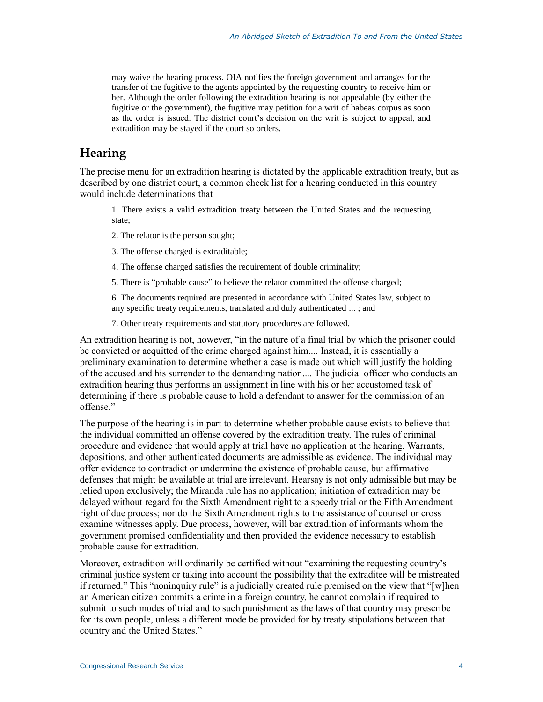may waive the hearing process. OIA notifies the foreign government and arranges for the transfer of the fugitive to the agents appointed by the requesting country to receive him or her. Although the order following the extradition hearing is not appealable (by either the fugitive or the government), the fugitive may petition for a writ of habeas corpus as soon as the order is issued. The district court's decision on the writ is subject to appeal, and extradition may be stayed if the court so orders.

#### **Hearing**

The precise menu for an extradition hearing is dictated by the applicable extradition treaty, but as described by one district court, a common check list for a hearing conducted in this country would include determinations that

1. There exists a valid extradition treaty between the United States and the requesting state;

- 2. The relator is the person sought;
- 3. The offense charged is extraditable;
- 4. The offense charged satisfies the requirement of double criminality;
- 5. There is "probable cause" to believe the relator committed the offense charged;

6. The documents required are presented in accordance with United States law, subject to any specific treaty requirements, translated and duly authenticated ... ; and

7. Other treaty requirements and statutory procedures are followed.

An extradition hearing is not, however, "in the nature of a final trial by which the prisoner could be convicted or acquitted of the crime charged against him.... Instead, it is essentially a preliminary examination to determine whether a case is made out which will justify the holding of the accused and his surrender to the demanding nation.... The judicial officer who conducts an extradition hearing thus performs an assignment in line with his or her accustomed task of determining if there is probable cause to hold a defendant to answer for the commission of an offense."

The purpose of the hearing is in part to determine whether probable cause exists to believe that the individual committed an offense covered by the extradition treaty. The rules of criminal procedure and evidence that would apply at trial have no application at the hearing. Warrants, depositions, and other authenticated documents are admissible as evidence. The individual may offer evidence to contradict or undermine the existence of probable cause, but affirmative defenses that might be available at trial are irrelevant. Hearsay is not only admissible but may be relied upon exclusively; the Miranda rule has no application; initiation of extradition may be delayed without regard for the Sixth Amendment right to a speedy trial or the Fifth Amendment right of due process; nor do the Sixth Amendment rights to the assistance of counsel or cross examine witnesses apply. Due process, however, will bar extradition of informants whom the government promised confidentiality and then provided the evidence necessary to establish probable cause for extradition.

Moreover, extradition will ordinarily be certified without "examining the requesting country's criminal justice system or taking into account the possibility that the extraditee will be mistreated if returned." This "noninquiry rule" is a judicially created rule premised on the view that "[w]hen an American citizen commits a crime in a foreign country, he cannot complain if required to submit to such modes of trial and to such punishment as the laws of that country may prescribe for its own people, unless a different mode be provided for by treaty stipulations between that country and the United States."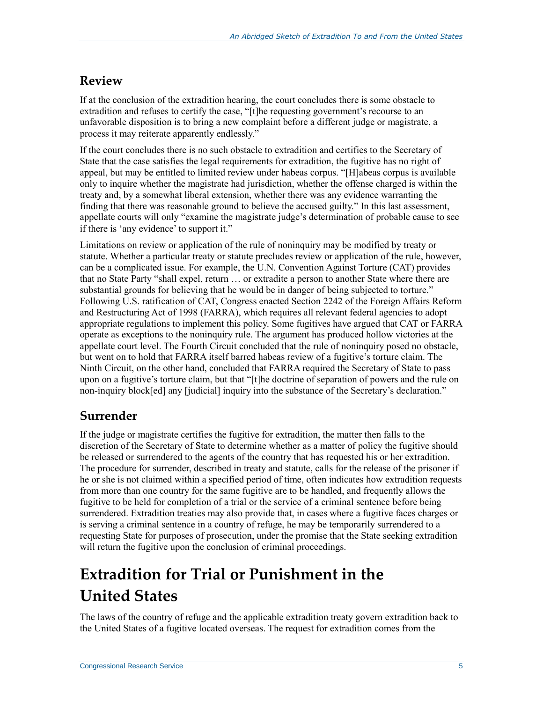# **Review**

If at the conclusion of the extradition hearing, the court concludes there is some obstacle to extradition and refuses to certify the case, "[t]he requesting government's recourse to an unfavorable disposition is to bring a new complaint before a different judge or magistrate, a process it may reiterate apparently endlessly."

If the court concludes there is no such obstacle to extradition and certifies to the Secretary of State that the case satisfies the legal requirements for extradition, the fugitive has no right of appeal, but may be entitled to limited review under habeas corpus. "[H]abeas corpus is available only to inquire whether the magistrate had jurisdiction, whether the offense charged is within the treaty and, by a somewhat liberal extension, whether there was any evidence warranting the finding that there was reasonable ground to believe the accused guilty." In this last assessment, appellate courts will only "examine the magistrate judge's determination of probable cause to see if there is 'any evidence' to support it."

Limitations on review or application of the rule of noninquiry may be modified by treaty or statute. Whether a particular treaty or statute precludes review or application of the rule, however, can be a complicated issue. For example, the U.N. Convention Against Torture (CAT) provides that no State Party "shall expel, return … or extradite a person to another State where there are substantial grounds for believing that he would be in danger of being subjected to torture." Following U.S. ratification of CAT, Congress enacted Section 2242 of the Foreign Affairs Reform and Restructuring Act of 1998 (FARRA), which requires all relevant federal agencies to adopt appropriate regulations to implement this policy. Some fugitives have argued that CAT or FARRA operate as exceptions to the noninquiry rule. The argument has produced hollow victories at the appellate court level. The Fourth Circuit concluded that the rule of noninquiry posed no obstacle, but went on to hold that FARRA itself barred habeas review of a fugitive's torture claim. The Ninth Circuit, on the other hand, concluded that FARRA required the Secretary of State to pass upon on a fugitive's torture claim, but that "[t]he doctrine of separation of powers and the rule on non-inquiry block[ed] any [judicial] inquiry into the substance of the Secretary's declaration."

# **Surrender**

If the judge or magistrate certifies the fugitive for extradition, the matter then falls to the discretion of the Secretary of State to determine whether as a matter of policy the fugitive should be released or surrendered to the agents of the country that has requested his or her extradition. The procedure for surrender, described in treaty and statute, calls for the release of the prisoner if he or she is not claimed within a specified period of time, often indicates how extradition requests from more than one country for the same fugitive are to be handled, and frequently allows the fugitive to be held for completion of a trial or the service of a criminal sentence before being surrendered. Extradition treaties may also provide that, in cases where a fugitive faces charges or is serving a criminal sentence in a country of refuge, he may be temporarily surrendered to a requesting State for purposes of prosecution, under the promise that the State seeking extradition will return the fugitive upon the conclusion of criminal proceedings.

# **Extradition for Trial or Punishment in the United States**

The laws of the country of refuge and the applicable extradition treaty govern extradition back to the United States of a fugitive located overseas. The request for extradition comes from the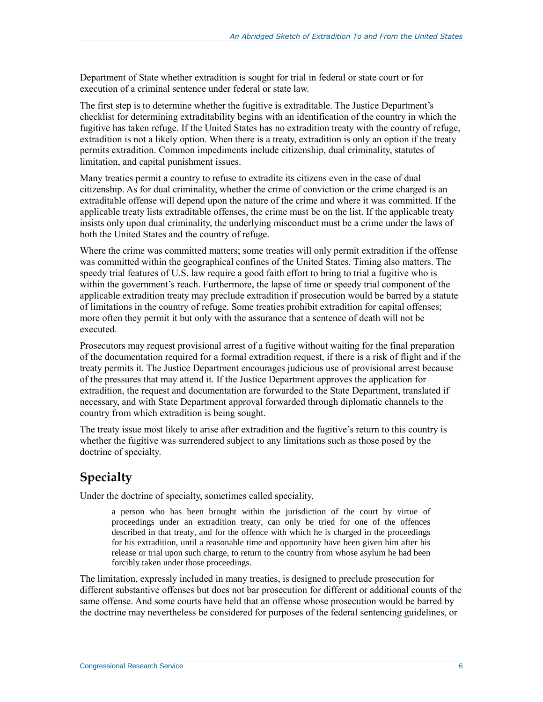Department of State whether extradition is sought for trial in federal or state court or for execution of a criminal sentence under federal or state law.

The first step is to determine whether the fugitive is extraditable. The Justice Department's checklist for determining extraditability begins with an identification of the country in which the fugitive has taken refuge. If the United States has no extradition treaty with the country of refuge, extradition is not a likely option. When there is a treaty, extradition is only an option if the treaty permits extradition. Common impediments include citizenship, dual criminality, statutes of limitation, and capital punishment issues.

Many treaties permit a country to refuse to extradite its citizens even in the case of dual citizenship. As for dual criminality, whether the crime of conviction or the crime charged is an extraditable offense will depend upon the nature of the crime and where it was committed. If the applicable treaty lists extraditable offenses, the crime must be on the list. If the applicable treaty insists only upon dual criminality, the underlying misconduct must be a crime under the laws of both the United States and the country of refuge.

Where the crime was committed matters; some treaties will only permit extradition if the offense was committed within the geographical confines of the United States. Timing also matters. The speedy trial features of U.S. law require a good faith effort to bring to trial a fugitive who is within the government's reach. Furthermore, the lapse of time or speedy trial component of the applicable extradition treaty may preclude extradition if prosecution would be barred by a statute of limitations in the country of refuge. Some treaties prohibit extradition for capital offenses; more often they permit it but only with the assurance that a sentence of death will not be executed.

Prosecutors may request provisional arrest of a fugitive without waiting for the final preparation of the documentation required for a formal extradition request, if there is a risk of flight and if the treaty permits it. The Justice Department encourages judicious use of provisional arrest because of the pressures that may attend it. If the Justice Department approves the application for extradition, the request and documentation are forwarded to the State Department, translated if necessary, and with State Department approval forwarded through diplomatic channels to the country from which extradition is being sought.

The treaty issue most likely to arise after extradition and the fugitive's return to this country is whether the fugitive was surrendered subject to any limitations such as those posed by the doctrine of specialty.

# **Specialty**

Under the doctrine of specialty, sometimes called speciality,

a person who has been brought within the jurisdiction of the court by virtue of proceedings under an extradition treaty, can only be tried for one of the offences described in that treaty, and for the offence with which he is charged in the proceedings for his extradition, until a reasonable time and opportunity have been given him after his release or trial upon such charge, to return to the country from whose asylum he had been forcibly taken under those proceedings.

The limitation, expressly included in many treaties, is designed to preclude prosecution for different substantive offenses but does not bar prosecution for different or additional counts of the same offense. And some courts have held that an offense whose prosecution would be barred by the doctrine may nevertheless be considered for purposes of the federal sentencing guidelines, or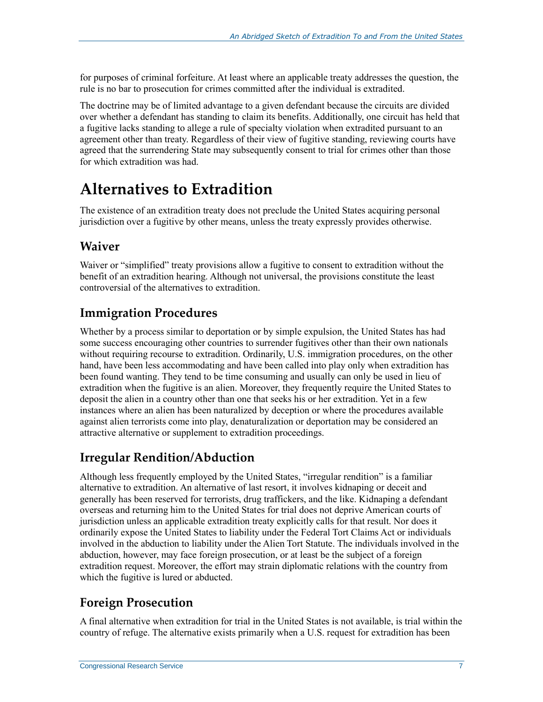for purposes of criminal forfeiture. At least where an applicable treaty addresses the question, the rule is no bar to prosecution for crimes committed after the individual is extradited.

The doctrine may be of limited advantage to a given defendant because the circuits are divided over whether a defendant has standing to claim its benefits. Additionally, one circuit has held that a fugitive lacks standing to allege a rule of specialty violation when extradited pursuant to an agreement other than treaty. Regardless of their view of fugitive standing, reviewing courts have agreed that the surrendering State may subsequently consent to trial for crimes other than those for which extradition was had.

# **Alternatives to Extradition**

The existence of an extradition treaty does not preclude the United States acquiring personal jurisdiction over a fugitive by other means, unless the treaty expressly provides otherwise.

### **Waiver**

Waiver or "simplified" treaty provisions allow a fugitive to consent to extradition without the benefit of an extradition hearing. Although not universal, the provisions constitute the least controversial of the alternatives to extradition.

# **Immigration Procedures**

Whether by a process similar to deportation or by simple expulsion, the United States has had some success encouraging other countries to surrender fugitives other than their own nationals without requiring recourse to extradition. Ordinarily, U.S. immigration procedures, on the other hand, have been less accommodating and have been called into play only when extradition has been found wanting. They tend to be time consuming and usually can only be used in lieu of extradition when the fugitive is an alien. Moreover, they frequently require the United States to deposit the alien in a country other than one that seeks his or her extradition. Yet in a few instances where an alien has been naturalized by deception or where the procedures available against alien terrorists come into play, denaturalization or deportation may be considered an attractive alternative or supplement to extradition proceedings.

# **Irregular Rendition/Abduction**

Although less frequently employed by the United States, "irregular rendition" is a familiar alternative to extradition. An alternative of last resort, it involves kidnaping or deceit and generally has been reserved for terrorists, drug traffickers, and the like. Kidnaping a defendant overseas and returning him to the United States for trial does not deprive American courts of jurisdiction unless an applicable extradition treaty explicitly calls for that result. Nor does it ordinarily expose the United States to liability under the Federal Tort Claims Act or individuals involved in the abduction to liability under the Alien Tort Statute. The individuals involved in the abduction, however, may face foreign prosecution, or at least be the subject of a foreign extradition request. Moreover, the effort may strain diplomatic relations with the country from which the fugitive is lured or abducted.

# **Foreign Prosecution**

A final alternative when extradition for trial in the United States is not available, is trial within the country of refuge. The alternative exists primarily when a U.S. request for extradition has been